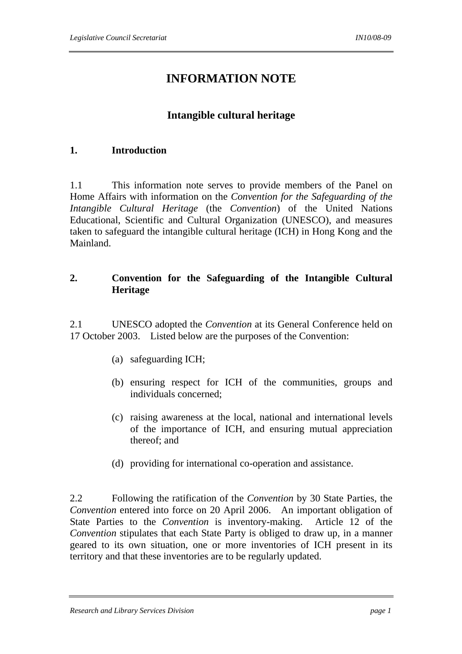# **INFORMATION NOTE**

# **Intangible cultural heritage**

# **1. Introduction**

1.1 This information note serves to provide members of the Panel on Home Affairs with information on the *Convention for the Safeguarding of the Intangible Cultural Heritage* (the *Convention*) of the United Nations Educational, Scientific and Cultural Organization (UNESCO), and measures taken to safeguard the intangible cultural heritage (ICH) in Hong Kong and the Mainland.

# **2. Convention for the Safeguarding of the Intangible Cultural Heritage**

2.1 UNESCO adopted the *Convention* at its General Conference held on 17 October 2003. Listed below are the purposes of the Convention:

- (a) safeguarding ICH;
- (b) ensuring respect for ICH of the communities, groups and individuals concerned;
- (c) raising awareness at the local, national and international levels of the importance of ICH, and ensuring mutual appreciation thereof; and
- (d) providing for international co-operation and assistance.

2.2 Following the ratification of the *Convention* by 30 State Parties, the *Convention* entered into force on 20 April 2006. An important obligation of State Parties to the *Convention* is inventory-making. Article 12 of the *Convention* stipulates that each State Party is obliged to draw up, in a manner geared to its own situation, one or more inventories of ICH present in its territory and that these inventories are to be regularly updated.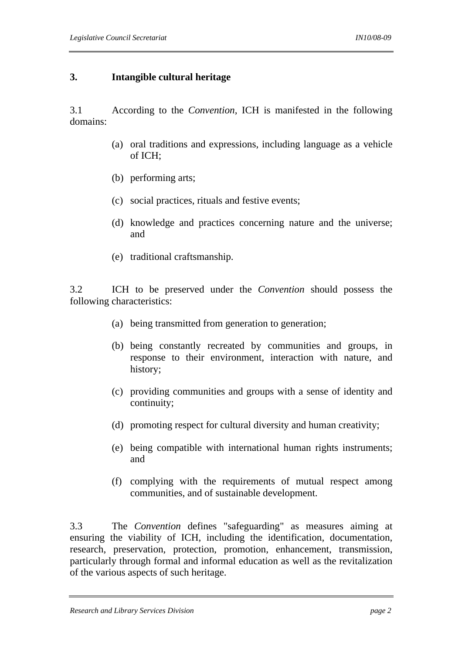#### **3. Intangible cultural heritage**

3.1 According to the *Convention*, ICH is manifested in the following domains:

- (a) oral traditions and expressions, including language as a vehicle of ICH;
- (b) performing arts;
- (c) social practices, rituals and festive events;
- (d) knowledge and practices concerning nature and the universe; and
- (e) traditional craftsmanship.

3.2 ICH to be preserved under the *Convention* should possess the following characteristics:

- (a) being transmitted from generation to generation;
- (b) being constantly recreated by communities and groups, in response to their environment, interaction with nature, and history;
- (c) providing communities and groups with a sense of identity and continuity;
- (d) promoting respect for cultural diversity and human creativity;
- (e) being compatible with international human rights instruments; and
- (f) complying with the requirements of mutual respect among communities, and of sustainable development.

3.3 The *Convention* defines "safeguarding" as measures aiming at ensuring the viability of ICH, including the identification, documentation, research, preservation, protection, promotion, enhancement, transmission, particularly through formal and informal education as well as the revitalization of the various aspects of such heritage.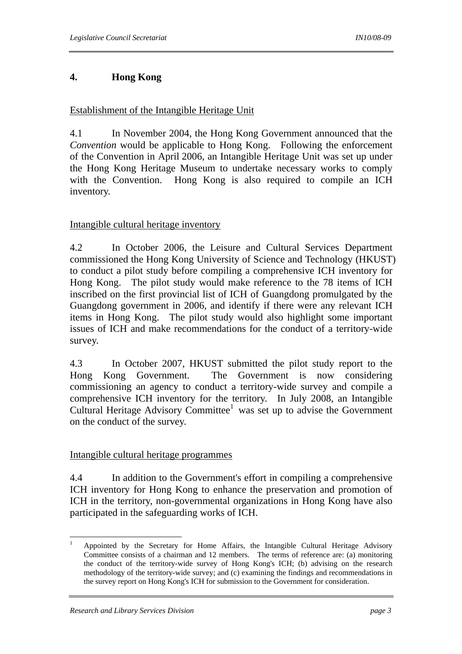# **4. Hong Kong**

## Establishment of the Intangible Heritage Unit

4.1 In November 2004, the Hong Kong Government announced that the *Convention* would be applicable to Hong Kong. Following the enforcement of the Convention in April 2006, an Intangible Heritage Unit was set up under the Hong Kong Heritage Museum to undertake necessary works to comply with the Convention. Hong Kong is also required to compile an ICH inventory.

#### Intangible cultural heritage inventory

4.2 In October 2006, the Leisure and Cultural Services Department commissioned the Hong Kong University of Science and Technology (HKUST) to conduct a pilot study before compiling a comprehensive ICH inventory for Hong Kong. The pilot study would make reference to the 78 items of ICH inscribed on the first provincial list of ICH of Guangdong promulgated by the Guangdong government in 2006, and identify if there were any relevant ICH items in Hong Kong. The pilot study would also highlight some important issues of ICH and make recommendations for the conduct of a territory-wide survey.

4.3 In October 2007, HKUST submitted the pilot study report to the Hong Kong Government. The Government is now considering commissioning an agency to conduct a territory-wide survey and compile a comprehensive ICH inventory for the territory. In July 2008, an Intangible Cultural Heritage Advisory Committee<sup>1</sup> was set up to advise the Government on the conduct of the survey.

## Intangible cultural heritage programmes

4.4 In addition to the Government's effort in compiling a comprehensive ICH inventory for Hong Kong to enhance the preservation and promotion of ICH in the territory, non-governmental organizations in Hong Kong have also participated in the safeguarding works of ICH.

 $\frac{1}{1}$ 

Appointed by the Secretary for Home Affairs, the Intangible Cultural Heritage Advisory Committee consists of a chairman and 12 members. The terms of reference are: (a) monitoring the conduct of the territory-wide survey of Hong Kong's ICH; (b) advising on the research methodology of the territory-wide survey; and (c) examining the findings and recommendations in the survey report on Hong Kong's ICH for submission to the Government for consideration.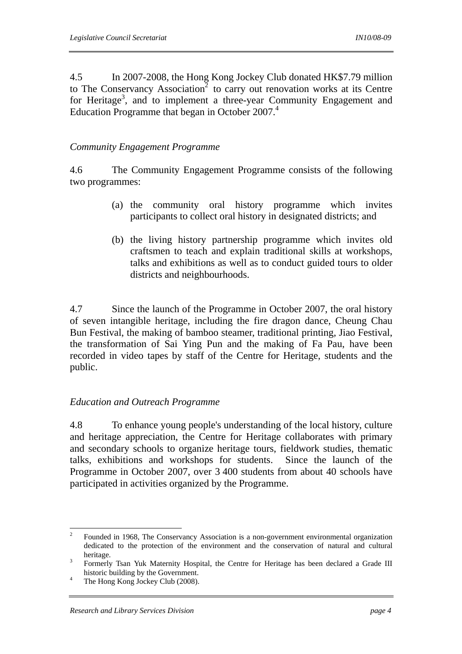4.5 In 2007-2008, the Hong Kong Jockey Club donated HK\$7.79 million to The Conservancy Association<sup>2</sup> to carry out renovation works at its Centre for Heritage<sup>3</sup>, and to implement a three-year Community Engagement and Education Programme that began in October 2007.<sup>4</sup>

#### *Community Engagement Programme*

4.6 The Community Engagement Programme consists of the following two programmes:

- (a) the community oral history programme which invites participants to collect oral history in designated districts; and
- (b) the living history partnership programme which invites old craftsmen to teach and explain traditional skills at workshops, talks and exhibitions as well as to conduct guided tours to older districts and neighbourhoods.

4.7 Since the launch of the Programme in October 2007, the oral history of seven intangible heritage, including the fire dragon dance, Cheung Chau Bun Festival, the making of bamboo steamer, traditional printing, Jiao Festival, the transformation of Sai Ying Pun and the making of Fa Pau, have been recorded in video tapes by staff of the Centre for Heritage, students and the public.

#### *Education and Outreach Programme*

4.8 To enhance young people's understanding of the local history, culture and heritage appreciation, the Centre for Heritage collaborates with primary and secondary schools to organize heritage tours, fieldwork studies, thematic talks, exhibitions and workshops for students. Since the launch of the Programme in October 2007, over 3 400 students from about 40 schools have participated in activities organized by the Programme.

 $\frac{1}{2}$ Founded in 1968, The Conservancy Association is a non-government environmental organization dedicated to the protection of the environment and the conservation of natural and cultural heritage.

Formerly Tsan Yuk Maternity Hospital, the Centre for Heritage has been declared a Grade III historic building by the Government.<br>
<sup>4</sup> The Hang Kang Jackson Club (2009).

The Hong Kong Jockey Club (2008).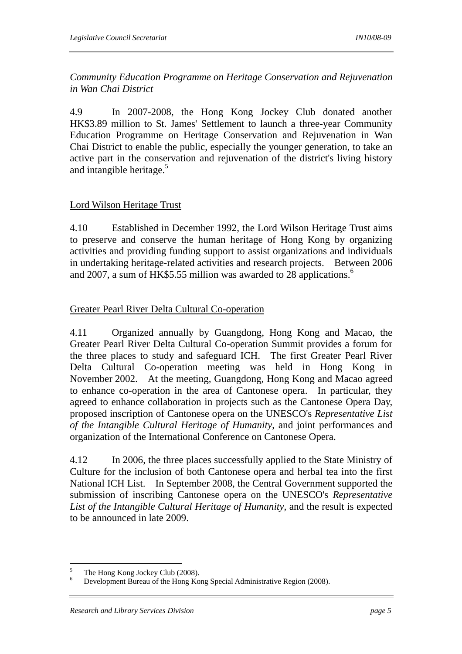*Community Education Programme on Heritage Conservation and Rejuvenation in Wan Chai District* 

4.9 In 2007-2008, the Hong Kong Jockey Club donated another HK\$3.89 million to St. James' Settlement to launch a three-year Community Education Programme on Heritage Conservation and Rejuvenation in Wan Chai District to enable the public, especially the younger generation, to take an active part in the conservation and rejuvenation of the district's living history and intangible heritage. $5$ 

#### Lord Wilson Heritage Trust

4.10 Established in December 1992, the Lord Wilson Heritage Trust aims to preserve and conserve the human heritage of Hong Kong by organizing activities and providing funding support to assist organizations and individuals in undertaking heritage-related activities and research projects. Between 2006 and 2007, a sum of HK\$5.55 million was awarded to  $28$  applications.<sup>6</sup>

## Greater Pearl River Delta Cultural Co-operation

4.11 Organized annually by Guangdong, Hong Kong and Macao, the Greater Pearl River Delta Cultural Co-operation Summit provides a forum for the three places to study and safeguard ICH. The first Greater Pearl River Delta Cultural Co-operation meeting was held in Hong Kong in November 2002. At the meeting, Guangdong, Hong Kong and Macao agreed to enhance co-operation in the area of Cantonese opera. In particular, they agreed to enhance collaboration in projects such as the Cantonese Opera Day, proposed inscription of Cantonese opera on the UNESCO's *Representative List of the Intangible Cultural Heritage of Humanity*, and joint performances and organization of the International Conference on Cantonese Opera.

4.12 In 2006, the three places successfully applied to the State Ministry of Culture for the inclusion of both Cantonese opera and herbal tea into the first National ICH List. In September 2008, the Central Government supported the submission of inscribing Cantonese opera on the UNESCO's *Representative List of the Intangible Cultural Heritage of Humanity*, and the result is expected to be announced in late 2009.

 5 The Hong Kong Jockey Club (2008).

<sup>6</sup> Development Bureau of the Hong Kong Special Administrative Region (2008).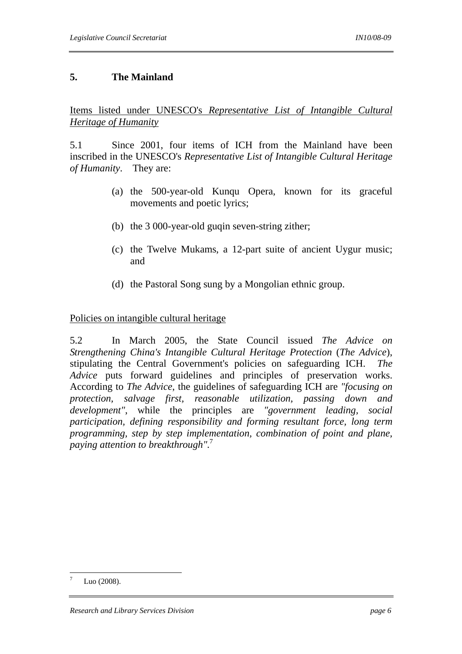# **5. The Mainland**

Items listed under UNESCO's *Representative List of Intangible Cultural Heritage of Humanity*

5.1 Since 2001, four items of ICH from the Mainland have been inscribed in the UNESCO's *Representative List of Intangible Cultural Heritage of Humanity*. They are:

- (a) the 500-year-old Kunqu Opera, known for its graceful movements and poetic lyrics;
- (b) the 3 000-year-old guqin seven-string zither;
- (c) the Twelve Mukams, a 12-part suite of ancient Uygur music; and
- (d) the Pastoral Song sung by a Mongolian ethnic group.

#### Policies on intangible cultural heritage

5.2 In March 2005, the State Council issued *The Advice on Strengthening China's Intangible Cultural Heritage Protection* (*The Advice*), stipulating the Central Government's policies on safeguarding ICH. *The Advice* puts forward guidelines and principles of preservation works. According to *The Advice*, the guidelines of safeguarding ICH are *"focusing on protection, salvage first, reasonable utilization, passing down and development"*, while the principles are *"government leading, social participation, defining responsibility and forming resultant force, long term programming, step by step implementation, combination of point and plane, paying attention to breakthrough"*. 7

 $\overline{a}$ 7 Luo (2008).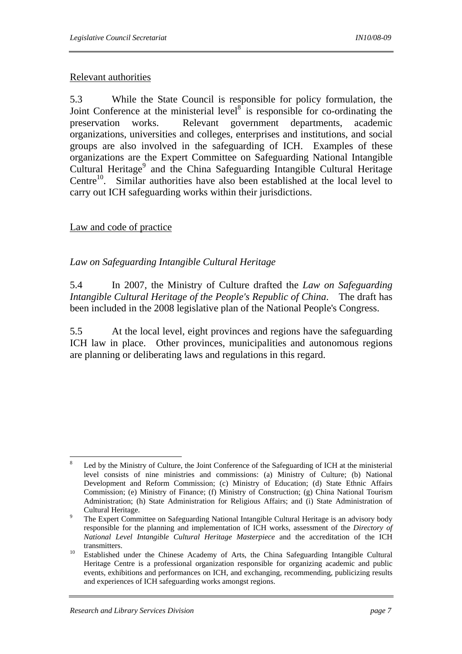#### Relevant authorities

5.3 While the State Council is responsible for policy formulation, the Joint Conference at the ministerial level<sup> $8^{\circ}$ </sup> is responsible for co-ordinating the preservation works. Relevant government departments, academic organizations, universities and colleges, enterprises and institutions, and social groups are also involved in the safeguarding of ICH. Examples of these organizations are the Expert Committee on Safeguarding National Intangible Cultural Heritage<sup>9</sup> and the China Safeguarding Intangible Cultural Heritage Centre $10$ . Similar authorities have also been established at the local level to carry out ICH safeguarding works within their jurisdictions.

#### Law and code of practice

## *Law on Safeguarding Intangible Cultural Heritage*

5.4 In 2007, the Ministry of Culture drafted the *Law on Safeguarding Intangible Cultural Heritage of the People's Republic of China*. The draft has been included in the 2008 legislative plan of the National People's Congress.

5.5 At the local level, eight provinces and regions have the safeguarding ICH law in place. Other provinces, municipalities and autonomous regions are planning or deliberating laws and regulations in this regard.

 8 Led by the Ministry of Culture, the Joint Conference of the Safeguarding of ICH at the ministerial level consists of nine ministries and commissions: (a) Ministry of Culture; (b) National Development and Reform Commission; (c) Ministry of Education; (d) State Ethnic Affairs Commission; (e) Ministry of Finance; (f) Ministry of Construction; (g) China National Tourism Administration; (h) State Administration for Religious Affairs; and (i) State Administration of Cultural Heritage.

The Expert Committee on Safeguarding National Intangible Cultural Heritage is an advisory body responsible for the planning and implementation of ICH works, assessment of the *Directory of National Level Intangible Cultural Heritage Masterpiece* and the accreditation of the ICH transmitters.<br><sup>10</sup> Established under the Chinese Academy of Arts, the China Safeguarding Intangible Cultural

Heritage Centre is a professional organization responsible for organizing academic and public events, exhibitions and performances on ICH, and exchanging, recommending, publicizing results and experiences of ICH safeguarding works amongst regions.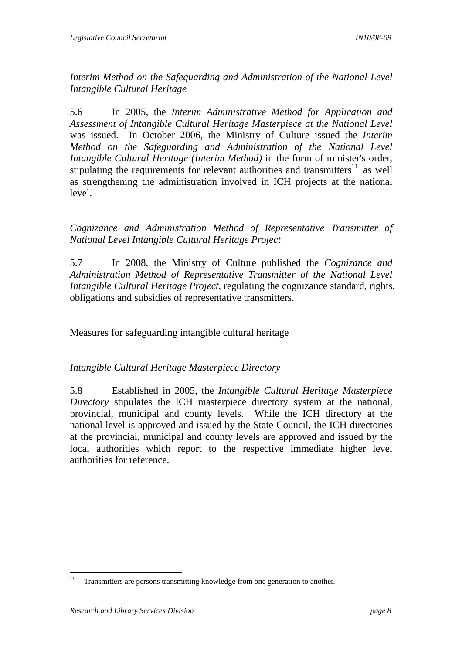*Interim Method on the Safeguarding and Administration of the National Level Intangible Cultural Heritage*

5.6 In 2005, the *Interim Administrative Method for Application and Assessment of Intangible Cultural Heritage Masterpiece at the National Level* was issued. In October 2006, the Ministry of Culture issued the *Interim Method on the Safeguarding and Administration of the National Level Intangible Cultural Heritage (Interim Method)* in the form of minister's order, stipulating the requirements for relevant authorities and transmitters $11$  as well as strengthening the administration involved in ICH projects at the national level.

*Cognizance and Administration Method of Representative Transmitter of National Level Intangible Cultural Heritage Project*

5.7 In 2008, the Ministry of Culture published the *Cognizance and Administration Method of Representative Transmitter of the National Level Intangible Cultural Heritage Project*, regulating the cognizance standard, rights, obligations and subsidies of representative transmitters.

Measures for safeguarding intangible cultural heritage

*Intangible Cultural Heritage Masterpiece Directory* 

5.8 Established in 2005, the *Intangible Cultural Heritage Masterpiece Directory* stipulates the ICH masterpiece directory system at the national, provincial, municipal and county levels. While the ICH directory at the national level is approved and issued by the State Council, the ICH directories at the provincial, municipal and county levels are approved and issued by the local authorities which report to the respective immediate higher level authorities for reference.

 $11$ Transmitters are persons transmitting knowledge from one generation to another.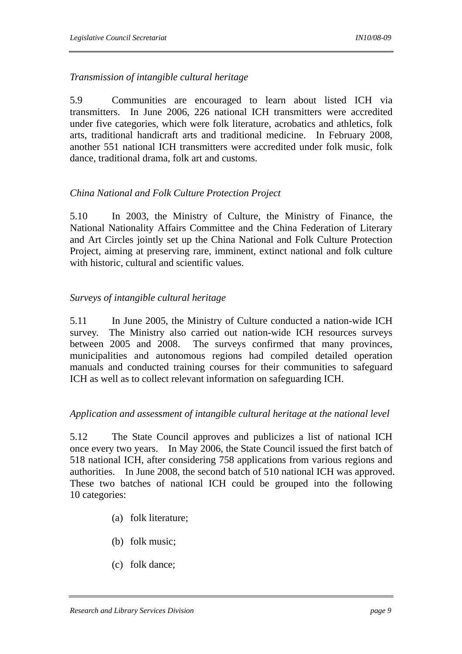# *Transmission of intangible cultural heritage*

5.9 Communities are encouraged to learn about listed ICH via transmitters. In June 2006, 226 national ICH transmitters were accredited under five categories, which were folk literature, acrobatics and athletics, folk arts, traditional handicraft arts and traditional medicine. In February 2008, another 551 national ICH transmitters were accredited under folk music, folk dance, traditional drama, folk art and customs.

## *China National and Folk Culture Protection Project*

5.10 In 2003, the Ministry of Culture, the Ministry of Finance, the National Nationality Affairs Committee and the China Federation of Literary and Art Circles jointly set up the China National and Folk Culture Protection Project, aiming at preserving rare, imminent, extinct national and folk culture with historic, cultural and scientific values.

# *Surveys of intangible cultural heritage*

5.11 In June 2005, the Ministry of Culture conducted a nation-wide ICH survey. The Ministry also carried out nation-wide ICH resources surveys between 2005 and 2008. The surveys confirmed that many provinces, municipalities and autonomous regions had compiled detailed operation manuals and conducted training courses for their communities to safeguard ICH as well as to collect relevant information on safeguarding ICH.

# *Application and assessment of intangible cultural heritage at the national level*

5.12 The State Council approves and publicizes a list of national ICH once every two years. In May 2006, the State Council issued the first batch of 518 national ICH, after considering 758 applications from various regions and authorities. In June 2008, the second batch of 510 national ICH was approved. These two batches of national ICH could be grouped into the following 10 categories:

- (a) folk literature;
- (b) folk music;
- (c) folk dance;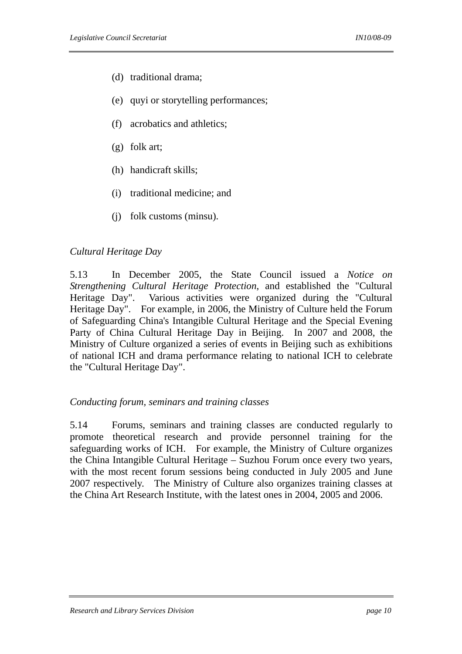- (d) traditional drama;
- (e) quyi or storytelling performances;
- (f) acrobatics and athletics;
- (g) folk art;
- (h) handicraft skills;
- (i) traditional medicine; and
- (j) folk customs (minsu).

#### *Cultural Heritage Day*

5.13 In December 2005, the State Council issued a *Notice on Strengthening Cultural Heritage Protection*, and established the "Cultural Heritage Day". Various activities were organized during the "Cultural Heritage Day". For example, in 2006, the Ministry of Culture held the Forum of Safeguarding China's Intangible Cultural Heritage and the Special Evening Party of China Cultural Heritage Day in Beijing. In 2007 and 2008, the Ministry of Culture organized a series of events in Beijing such as exhibitions of national ICH and drama performance relating to national ICH to celebrate the "Cultural Heritage Day".

#### *Conducting forum, seminars and training classes*

5.14 Forums, seminars and training classes are conducted regularly to promote theoretical research and provide personnel training for the safeguarding works of ICH. For example, the Ministry of Culture organizes the China Intangible Cultural Heritage – Suzhou Forum once every two years, with the most recent forum sessions being conducted in July 2005 and June 2007 respectively. The Ministry of Culture also organizes training classes at the China Art Research Institute, with the latest ones in 2004, 2005 and 2006.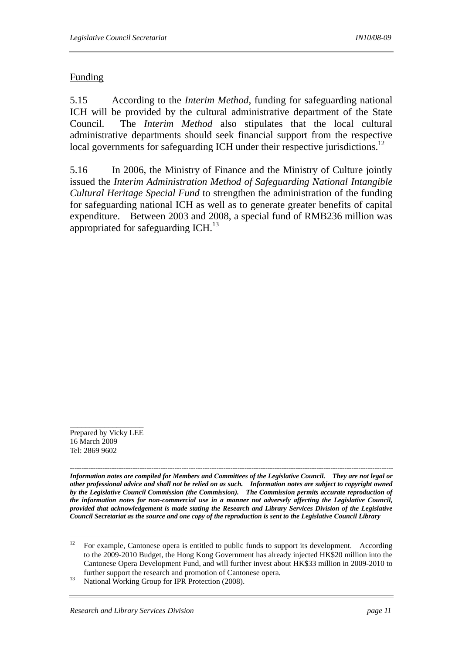# Funding

5.15 According to the *Interim Method*, funding for safeguarding national ICH will be provided by the cultural administrative department of the State Council. The *Interim Method* also stipulates that the local cultural administrative departments should seek financial support from the respective local governments for safeguarding ICH under their respective jurisdictions.<sup>12</sup>

5.16 In 2006, the Ministry of Finance and the Ministry of Culture jointly issued the *Interim Administration Method of Safeguarding National Intangible Cultural Heritage Special Fund* to strengthen the administration of the funding for safeguarding national ICH as well as to generate greater benefits of capital expenditure. Between 2003 and 2008, a special fund of RMB236 million was appropriated for safeguarding ICH.<sup>13</sup>

\_\_\_\_\_\_\_\_\_\_\_\_\_\_\_\_\_\_\_

*------------------------------------------------------------------------------------------------------------------------------------------- Information notes are compiled for Members and Committees of the Legislative Council. They are not legal or other professional advice and shall not be relied on as such. Information notes are subject to copyright owned by the Legislative Council Commission (the Commission). The Commission permits accurate reproduction of the information notes for non-commercial use in a manner not adversely affecting the Legislative Council, provided that acknowledgement is made stating the Research and Library Services Division of the Legislative Council Secretariat as the source and one copy of the reproduction is sent to the Legislative Council Library*

Prepared by Vicky LEE 16 March 2009 Tel: 2869 9602

 $12$ 12 For example, Cantonese opera is entitled to public funds to support its development. According to the 2009-2010 Budget, the Hong Kong Government has already injected HK\$20 million into the Cantonese Opera Development Fund, and will further invest about HK\$33 million in 2009-2010 to

further support the research and promotion of Cantonese opera.<br><sup>13</sup> National Working Group for IPR Protection (2008).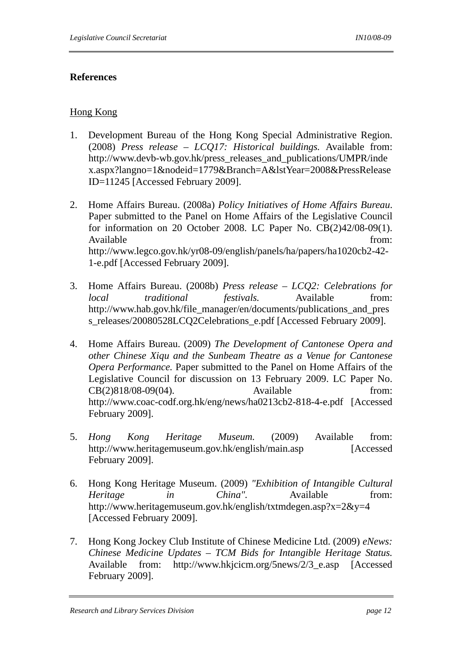## **References**

# Hong Kong

- 1. Development Bureau of the Hong Kong Special Administrative Region. (2008) *Press release – LCQ17: Historical buildings.* Available from: http://www.devb-wb.gov.hk/press\_releases\_and\_publications/UMPR/inde x.aspx?langno=1&nodeid=1779&Branch=A&lstYear=2008&PressRelease ID=11245 [Accessed February 2009].
- 2. Home Affairs Bureau. (2008a) *Policy Initiatives of Home Affairs Bureau*. Paper submitted to the Panel on Home Affairs of the Legislative Council for information on 20 October 2008. LC Paper No. CB(2)42/08-09(1). Available from:  $\blacksquare$ http://www.legco.gov.hk/yr08-09/english/panels/ha/papers/ha1020cb2-42- 1-e.pdf [Accessed February 2009].
- 3. Home Affairs Bureau. (2008b) *Press release LCQ2: Celebrations for local traditional festivals.* Available from: http://www.hab.gov.hk/file\_manager/en/documents/publications\_and\_pres s\_releases/20080528LCQ2Celebrations\_e.pdf [Accessed February 2009].
- 4. Home Affairs Bureau. (2009) *The Development of Cantonese Opera and other Chinese Xiqu and the Sunbeam Theatre as a Venue for Cantonese Opera Performance.* Paper submitted to the Panel on Home Affairs of the Legislative Council for discussion on 13 February 2009. LC Paper No. CB(2)818/08-09(04). Available from: http://www.coac-codf.org.hk/eng/news/ha0213cb2-818-4-e.pdf [Accessed February 2009].
- 5. *Hong Kong Heritage Museum.* (2009) Available from: http://www.heritagemuseum.gov.hk/english/main.asp [Accessed February 2009].
- 6. Hong Kong Heritage Museum. (2009) *"Exhibition of Intangible Cultural Heritage in China"*. Available from: http://www.heritagemuseum.gov.hk/english/txtmdegen.asp?x=2&y=4 [Accessed February 2009].
- 7. Hong Kong Jockey Club Institute of Chinese Medicine Ltd. (2009) *eNews: Chinese Medicine Updates – TCM Bids for Intangible Heritage Status.* Available from: http://www.hkjcicm.org/5news/2/3\_e.asp [Accessed February 2009].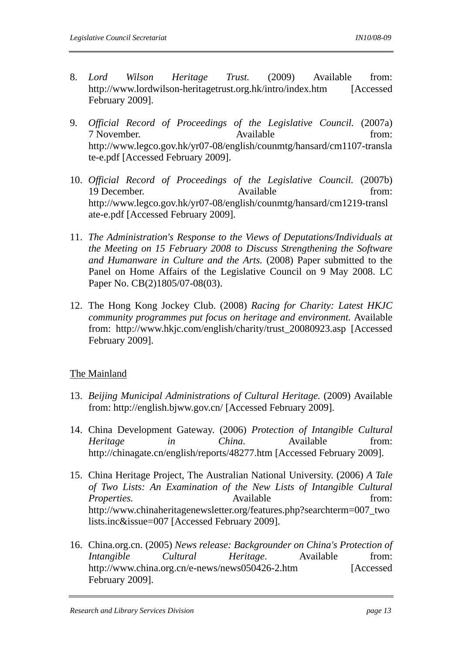- 8. *Lord Wilson Heritage Trust.* (2009) Available from: http://www.lordwilson-heritagetrust.org.hk/intro/index.htm [Accessed February 2009].
- 9. *Official Record of Proceedings of the Legislative Council.* (2007a) 7 November. Available from: http://www.legco.gov.hk/yr07-08/english/counmtg/hansard/cm1107-transla te-e.pdf [Accessed February 2009].
- 10. *Official Record of Proceedings of the Legislative Council.* (2007b) 19 December. Available from: http://www.legco.gov.hk/yr07-08/english/counmtg/hansard/cm1219-transl ate-e.pdf [Accessed February 2009].
- 11. *The Administration's Response to the Views of Deputations/Individuals at the Meeting on 15 February 2008 to Discuss Strengthening the Software and Humanware in Culture and the Arts.* (2008) Paper submitted to the Panel on Home Affairs of the Legislative Council on 9 May 2008. LC Paper No. CB(2)1805/07-08(03).
- 12. The Hong Kong Jockey Club. (2008) *Racing for Charity: Latest HKJC community programmes put focus on heritage and environment.* Available from: http://www.hkjc.com/english/charity/trust\_20080923.asp [Accessed February 2009].

## The Mainland

- 13. *Beijing Municipal Administrations of Cultural Heritage.* (2009) Available from: http://english.bjww.gov.cn/ [Accessed February 2009].
- 14. China Development Gateway. (2006) *Protection of Intangible Cultural Heritage in China*. Available from: http://chinagate.cn/english/reports/48277.htm [Accessed February 2009].
- 15. China Heritage Project, The Australian National University. (2006) *A Tale of Two Lists: An Examination of the New Lists of Intangible Cultural Properties.* Available from: http://www.chinaheritagenewsletter.org/features.php?searchterm=007\_two lists.inc&issue=007 [Accessed February 2009].
- 16. China.org.cn. (2005) *News release: Backgrounder on China's Protection of Intangible Cultural Heritage*. Available from: http://www.china.org.cn/e-news/news050426-2.htm [Accessed February 2009].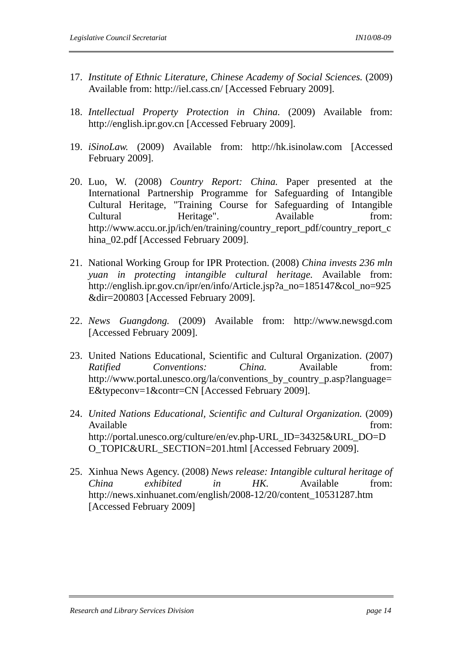- 17. *Institute of Ethnic Literature, Chinese Academy of Social Sciences.* (2009) Available from: http://iel.cass.cn/ [Accessed February 2009].
- 18. *Intellectual Property Protection in China.* (2009) Available from: http://english.ipr.gov.cn [Accessed February 2009].
- 19. *iSinoLaw.* (2009) Available from: http://hk.isinolaw.com [Accessed February 2009].
- 20. Luo, W. (2008) *Country Report: China.* Paper presented at the International Partnership Programme for Safeguarding of Intangible Cultural Heritage, "Training Course for Safeguarding of Intangible Cultural Heritage". Available from: http://www.accu.or.jp/ich/en/training/country\_report\_pdf/country\_report\_c hina\_02.pdf [Accessed February 2009].
- 21. National Working Group for IPR Protection. (2008) *China invests 236 mln yuan in protecting intangible cultural heritage.* Available from: http://english.ipr.gov.cn/ipr/en/info/Article.jsp?a\_no=185147&col\_no=925 &dir=200803 [Accessed February 2009].
- 22. *News Guangdong.* (2009) Available from: http://www.newsgd.com [Accessed February 2009].
- 23. United Nations Educational, Scientific and Cultural Organization. (2007) *Ratified Conventions: China.* Available from: http://www.portal.unesco.org/la/conventions\_by\_country\_p.asp?language= E&typeconv=1&contr=CN [Accessed February 2009].
- 24. *United Nations Educational, Scientific and Cultural Organization.* (2009) Available from:  $\blacksquare$ http://portal.unesco.org/culture/en/ev.php-URL\_ID=34325&URL\_DO=D O\_TOPIC&URL\_SECTION=201.html [Accessed February 2009].
- 25. Xinhua News Agency. (2008) *News release: Intangible cultural heritage of China exhibited in HK.* Available from: http://news.xinhuanet.com/english/2008-12/20/content\_10531287.htm [Accessed February 2009]